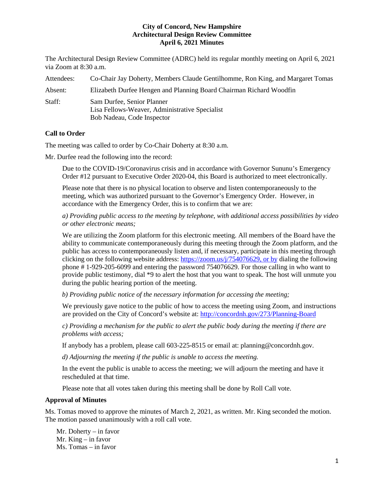The Architectural Design Review Committee (ADRC) held its regular monthly meeting on April 6, 2021 via Zoom at 8:30 a.m.

| Attendees: | Co-Chair Jay Doherty, Members Claude Gentilhomme, Ron King, and Margaret Tomas                             |
|------------|------------------------------------------------------------------------------------------------------------|
| Absent:    | Elizabeth Durfee Hengen and Planning Board Chairman Richard Woodfin                                        |
| Staff:     | Sam Durfee, Senior Planner<br>Lisa Fellows-Weaver, Administrative Specialist<br>Bob Nadeau, Code Inspector |

# **Call to Order**

The meeting was called to order by Co-Chair Doherty at 8:30 a.m.

Mr. Durfee read the following into the record:

Due to the COVID-19/Coronavirus crisis and in accordance with Governor Sununu's Emergency Order #12 pursuant to Executive Order 2020-04, this Board is authorized to meet electronically.

Please note that there is no physical location to observe and listen contemporaneously to the meeting, which was authorized pursuant to the Governor's Emergency Order. However, in accordance with the Emergency Order, this is to confirm that we are:

*a) Providing public access to the meeting by telephone, with additional access possibilities by video or other electronic means;* 

We are utilizing the Zoom platform for this electronic meeting. All members of the Board have the ability to communicate contemporaneously during this meeting through the Zoom platform, and the public has access to contemporaneously listen and, if necessary, participate in this meeting through clicking on the following website address: [https://zoom.us/j/754076629,](https://zoom.us/j/754076629) or by dialing the following phone # 1-929-205-6099 and entering the password 754076629. For those calling in who want to provide public testimony, dial \*9 to alert the host that you want to speak. The host will unmute you during the public hearing portion of the meeting.

*b) Providing public notice of the necessary information for accessing the meeting;*

We previously gave notice to the public of how to access the meeting using Zoom, and instructions are provided on the City of Concord's website at: <http://concordnh.gov/273/Planning-Board>

*c) Providing a mechanism for the public to alert the public body during the meeting if there are problems with access;* 

If anybody has a problem, please call 603-225-8515 or email at: planning@concordnh.gov.

*d) Adjourning the meeting if the public is unable to access the meeting.*

In the event the public is unable to access the meeting; we will adjourn the meeting and have it rescheduled at that time.

Please note that all votes taken during this meeting shall be done by Roll Call vote.

# **Approval of Minutes**

Ms. Tomas moved to approve the minutes of March 2, 2021, as written. Mr. King seconded the motion. The motion passed unanimously with a roll call vote.

Mr. Doherty – in favor Mr. King – in favor Ms. Tomas – in favor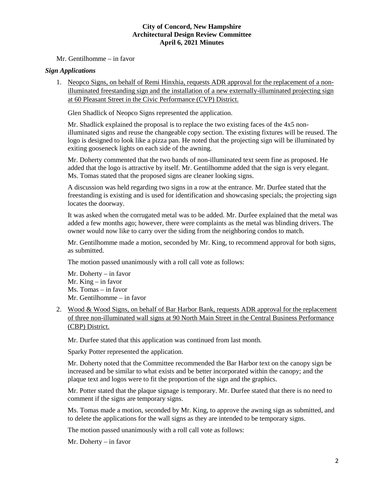Mr. Gentilhomme – in favor

# *Sign Applications*

1. Neopco Signs, on behalf of Remi Hinxhia, requests ADR approval for the replacement of a nonilluminated freestanding sign and the installation of a new externally-illuminated projecting sign at 60 Pleasant Street in the Civic Performance (CVP) District.

Glen Shadlick of Neopco Signs represented the application.

Mr. Shadlick explained the proposal is to replace the two existing faces of the 4x5 nonilluminated signs and reuse the changeable copy section. The existing fixtures will be reused. The logo is designed to look like a pizza pan. He noted that the projecting sign will be illuminated by exiting gooseneck lights on each side of the awning.

Mr. Doherty commented that the two bands of non-illuminated text seem fine as proposed. He added that the logo is attractive by itself. Mr. Gentilhomme added that the sign is very elegant. Ms. Tomas stated that the proposed signs are cleaner looking signs.

A discussion was held regarding two signs in a row at the entrance. Mr. Durfee stated that the freestanding is existing and is used for identification and showcasing specials; the projecting sign locates the doorway.

It was asked when the corrugated metal was to be added. Mr. Durfee explained that the metal was added a few months ago; however, there were complaints as the metal was blinding drivers. The owner would now like to carry over the siding from the neighboring condos to match.

Mr. Gentilhomme made a motion, seconded by Mr. King, to recommend approval for both signs, as submitted.

The motion passed unanimously with a roll call vote as follows:

Mr. Doherty – in favor Mr. King – in favor Ms. Tomas – in favor Mr. Gentilhomme – in favor

2. Wood & Wood Signs, on behalf of Bar Harbor Bank, requests ADR approval for the replacement of three non-illuminated wall signs at 90 North Main Street in the Central Business Performance (CBP) District.

Mr. Durfee stated that this application was continued from last month.

Sparky Potter represented the application.

Mr. Doherty noted that the Committee recommended the Bar Harbor text on the canopy sign be increased and be similar to what exists and be better incorporated within the canopy; and the plaque text and logos were to fit the proportion of the sign and the graphics.

Mr. Potter stated that the plaque signage is temporary. Mr. Durfee stated that there is no need to comment if the signs are temporary signs.

Ms. Tomas made a motion, seconded by Mr. King, to approve the awning sign as submitted, and to delete the applications for the wall signs as they are intended to be temporary signs.

The motion passed unanimously with a roll call vote as follows:

Mr. Doherty – in favor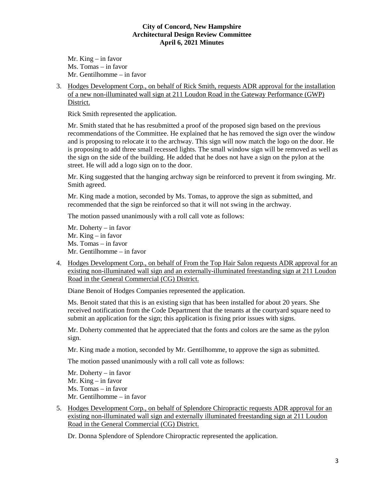Mr. King – in favor Ms. Tomas – in favor Mr. Gentilhomme – in favor

3. Hodges Development Corp., on behalf of Rick Smith, requests ADR approval for the installation of a new non-illuminated wall sign at 211 Loudon Road in the Gateway Performance (GWP) District.

Rick Smith represented the application.

Mr. Smith stated that he has resubmitted a proof of the proposed sign based on the previous recommendations of the Committee. He explained that he has removed the sign over the window and is proposing to relocate it to the archway. This sign will now match the logo on the door. He is proposing to add three small recessed lights. The small window sign will be removed as well as the sign on the side of the building. He added that he does not have a sign on the pylon at the street. He will add a logo sign on to the door.

Mr. King suggested that the hanging archway sign be reinforced to prevent it from swinging. Mr. Smith agreed.

Mr. King made a motion, seconded by Ms. Tomas, to approve the sign as submitted, and recommended that the sign be reinforced so that it will not swing in the archway.

The motion passed unanimously with a roll call vote as follows:

Mr. Doherty – in favor Mr. King – in favor Ms. Tomas – in favor Mr. Gentilhomme – in favor

4. Hodges Development Corp., on behalf of From the Top Hair Salon requests ADR approval for an existing non-illuminated wall sign and an externally-illuminated freestanding sign at 211 Loudon Road in the General Commercial (CG) District.

Diane Benoit of Hodges Companies represented the application.

Ms. Benoit stated that this is an existing sign that has been installed for about 20 years. She received notification from the Code Department that the tenants at the courtyard square need to submit an application for the sign; this application is fixing prior issues with signs.

Mr. Doherty commented that he appreciated that the fonts and colors are the same as the pylon sign.

Mr. King made a motion, seconded by Mr. Gentilhomme, to approve the sign as submitted.

The motion passed unanimously with a roll call vote as follows:

Mr. Doherty – in favor Mr. King – in favor Ms. Tomas – in favor Mr. Gentilhomme – in favor

5. Hodges Development Corp., on behalf of Splendore Chiropractic requests ADR approval for an existing non-illuminated wall sign and externally illuminated freestanding sign at 211 Loudon Road in the General Commercial (CG) District.

Dr. Donna Splendore of Splendore Chiropractic represented the application.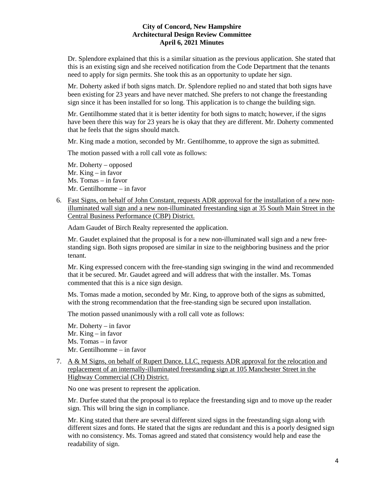Dr. Splendore explained that this is a similar situation as the previous application. She stated that this is an existing sign and she received notification from the Code Department that the tenants need to apply for sign permits. She took this as an opportunity to update her sign.

Mr. Doherty asked if both signs match. Dr. Splendore replied no and stated that both signs have been existing for 23 years and have never matched. She prefers to not change the freestanding sign since it has been installed for so long. This application is to change the building sign.

Mr. Gentilhomme stated that it is better identity for both signs to match; however, if the signs have been there this way for 23 years he is okay that they are different. Mr. Doherty commented that he feels that the signs should match.

Mr. King made a motion, seconded by Mr. Gentilhomme, to approve the sign as submitted.

The motion passed with a roll call vote as follows:

Mr. Doherty – opposed Mr. King – in favor Ms. Tomas – in favor Mr. Gentilhomme – in favor

6. Fast Signs, on behalf of John Constant, requests ADR approval for the installation of a new nonilluminated wall sign and a new non-illuminated freestanding sign at 35 South Main Street in the Central Business Performance (CBP) District.

Adam Gaudet of Birch Realty represented the application.

Mr. Gaudet explained that the proposal is for a new non-illuminated wall sign and a new freestanding sign. Both signs proposed are similar in size to the neighboring business and the prior tenant.

Mr. King expressed concern with the free-standing sign swinging in the wind and recommended that it be secured. Mr. Gaudet agreed and will address that with the installer. Ms. Tomas commented that this is a nice sign design.

Ms. Tomas made a motion, seconded by Mr. King, to approve both of the signs as submitted, with the strong recommendation that the free-standing sign be secured upon installation.

The motion passed unanimously with a roll call vote as follows:

Mr. Doherty – in favor Mr. King – in favor Ms. Tomas – in favor Mr. Gentilhomme – in favor

7. A & M Signs, on behalf of Rupert Dance, LLC, requests ADR approval for the relocation and replacement of an internally-illuminated freestanding sign at 105 Manchester Street in the Highway Commercial (CH) District.

No one was present to represent the application.

Mr. Durfee stated that the proposal is to replace the freestanding sign and to move up the reader sign. This will bring the sign in compliance.

Mr. King stated that there are several different sized signs in the freestanding sign along with different sizes and fonts. He stated that the signs are redundant and this is a poorly designed sign with no consistency. Ms. Tomas agreed and stated that consistency would help and ease the readability of sign.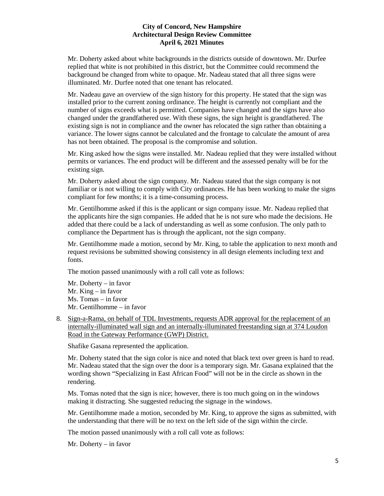Mr. Doherty asked about white backgrounds in the districts outside of downtown. Mr. Durfee replied that white is not prohibited in this district, but the Committee could recommend the background be changed from white to opaque. Mr. Nadeau stated that all three signs were illuminated. Mr. Durfee noted that one tenant has relocated.

Mr. Nadeau gave an overview of the sign history for this property. He stated that the sign was installed prior to the current zoning ordinance. The height is currently not compliant and the number of signs exceeds what is permitted. Companies have changed and the signs have also changed under the grandfathered use. With these signs, the sign height is grandfathered. The existing sign is not in compliance and the owner has relocated the sign rather than obtaining a variance. The lower signs cannot be calculated and the frontage to calculate the amount of area has not been obtained. The proposal is the compromise and solution.

Mr. King asked how the signs were installed. Mr. Nadeau replied that they were installed without permits or variances. The end product will be different and the assessed penalty will be for the existing sign.

Mr. Doherty asked about the sign company. Mr. Nadeau stated that the sign company is not familiar or is not willing to comply with City ordinances. He has been working to make the signs compliant for few months; it is a time-consuming process.

Mr. Gentilhomme asked if this is the applicant or sign company issue. Mr. Nadeau replied that the applicants hire the sign companies. He added that he is not sure who made the decisions. He added that there could be a lack of understanding as well as some confusion. The only path to compliance the Department has is through the applicant, not the sign company.

Mr. Gentilhomme made a motion, second by Mr. King, to table the application to next month and request revisions be submitted showing consistency in all design elements including text and fonts.

The motion passed unanimously with a roll call vote as follows:

Mr. Doherty – in favor Mr. King – in favor Ms. Tomas – in favor Mr. Gentilhomme – in favor

8. Sign-a-Rama, on behalf of TDL Investments, requests ADR approval for the replacement of an internally-illuminated wall sign and an internally-illuminated freestanding sign at 374 Loudon Road in the Gateway Performance (GWP) District.

Shafike Gasana represented the application.

Mr. Doherty stated that the sign color is nice and noted that black text over green is hard to read. Mr. Nadeau stated that the sign over the door is a temporary sign. Mr. Gasana explained that the wording shown "Specializing in East African Food" will not be in the circle as shown in the rendering.

Ms. Tomas noted that the sign is nice; however, there is too much going on in the windows making it distracting. She suggested reducing the signage in the windows.

Mr. Gentilhomme made a motion, seconded by Mr. King, to approve the signs as submitted, with the understanding that there will be no text on the left side of the sign within the circle.

The motion passed unanimously with a roll call vote as follows:

Mr. Doherty – in favor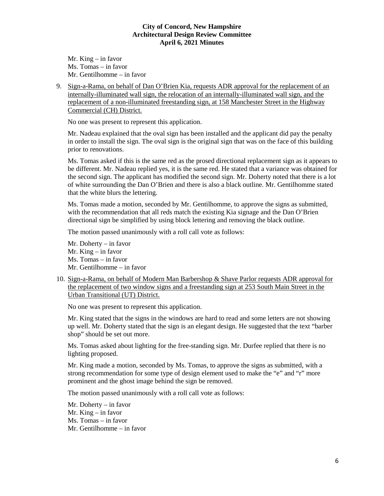Mr. King – in favor Ms. Tomas – in favor Mr. Gentilhomme – in favor

9. Sign-a-Rama, on behalf of Dan O'Brien Kia, requests ADR approval for the replacement of an internally-illuminated wall sign, the relocation of an internally-illuminated wall sign, and the replacement of a non-illuminated freestanding sign, at 158 Manchester Street in the Highway Commercial (CH) District.

No one was present to represent this application.

Mr. Nadeau explained that the oval sign has been installed and the applicant did pay the penalty in order to install the sign. The oval sign is the original sign that was on the face of this building prior to renovations.

Ms. Tomas asked if this is the same red as the prosed directional replacement sign as it appears to be different. Mr. Nadeau replied yes, it is the same red. He stated that a variance was obtained for the second sign. The applicant has modified the second sign. Mr. Doherty noted that there is a lot of white surrounding the Dan O'Brien and there is also a black outline. Mr. Gentilhomme stated that the white blurs the lettering.

Ms. Tomas made a motion, seconded by Mr. Gentilhomme, to approve the signs as submitted, with the recommendation that all reds match the existing Kia signage and the Dan O'Brien directional sign be simplified by using block lettering and removing the black outline.

The motion passed unanimously with a roll call vote as follows:

Mr. Doherty – in favor Mr. King – in favor Ms. Tomas – in favor Mr. Gentilhomme – in favor

10. Sign-a-Rama, on behalf of Modern Man Barbershop & Shave Parlor requests ADR approval for the replacement of two window signs and a freestanding sign at 253 South Main Street in the Urban Transitional (UT) District.

No one was present to represent this application.

Mr. King stated that the signs in the windows are hard to read and some letters are not showing up well. Mr. Doherty stated that the sign is an elegant design. He suggested that the text "barber shop" should be set out more.

Ms. Tomas asked about lighting for the free-standing sign. Mr. Durfee replied that there is no lighting proposed.

Mr. King made a motion, seconded by Ms. Tomas, to approve the signs as submitted, with a strong recommendation for some type of design element used to make the "e" and "r" more prominent and the ghost image behind the sign be removed.

The motion passed unanimously with a roll call vote as follows:

Mr. Doherty – in favor Mr. King – in favor Ms. Tomas – in favor Mr. Gentilhomme – in favor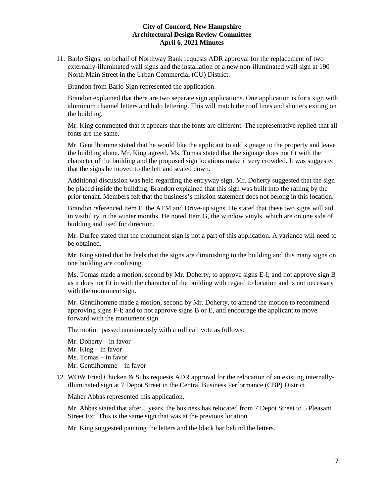11. [Barlo Signs,](https://www.concordnh.gov/DocumentCenter/View/16974/190-N-Main-St---Northway-Bank---3-Building-Signs-for-ADR-plus-directional) on behalf of Northway Bank requests ADR approval for the replacement of two externally-illuminated wall signs and the installation of a new non-illuminated wall sign at 190 North Main Street in the Urban Commercial (CU) District.

Brandon from Barlo Sign represented the application.

Brandon explained that there are two separate sign applications. One application is for a sign with aluminum channel letters and halo lettering. This will match the roof lines and shutters exiting on the building.

Mr. King commented that it appears that the fonts are different. The representative replied that all fonts are the same.

Mr. Gentilhomme stated that he would like the applicant to add signage to the property and leave the building alone. Mr. King agreed. Ms. Tomas stated that the signage does not fit with the character of the building and the proposed sign locations make it very crowded. It was suggested that the signs be moved to the left and scaled down.

Additional discussion was held regarding the entryway sign. Mr. Doherty suggested that the sign be placed inside the building. Brandon explained that this sign was built into the railing by the prior tenant. Members felt that the business's mission statement does not belong in this location.

Brandon referenced Item F, the ATM and Drive-up signs. He stated that these two signs will aid in visibility in the winter months. He noted Item G, the window vinyls, which are on one side of building and used for direction.

Mr. Durfee stated that the monument sign is not a part of this application. A variance will need to be obtained.

Mr. King stated that he feels that the signs are diminishing to the building and this many signs on one building are confusing.

Ms. Tomas made a motion, second by Mr. Doherty, to approve signs E-I; and not approve sign B as it does not fit in with the character of the building with regard to location and is not necessary with the monument sign.

Mr. Gentilhomme made a motion, second by Mr. Doherty, to amend the motion to recommend approving signs F-I; and to not approve signs B or E, and encourage the applicant to move forward with the monument sign.

The motion passed unanimously with a roll call vote as follows:

Mr. Doherty – in favor Mr. King – in favor Ms. Tomas – in favor Mr. Gentilhomme – in favor

#### 12. WOW Fried Chicken & Subs requests ADR approval for the relocation of an existing internallyilluminated sign at 7 Depot Street in the Central Business Performance (CBP) District.

Maher Abbas represented this application.

Mr. Abbas stated that after 5 years, the business has relocated from 7 Depot Street to 5 Pleasant Street Ext. This is the same sign that was at the previous location.

Mr. King suggested painting the letters and the black bar behind the letters.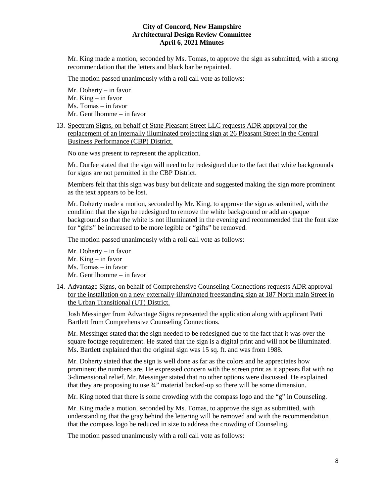Mr. King made a motion, seconded by Ms. Tomas, to approve the sign as submitted, with a strong recommendation that the letters and black bar be repainted.

The motion passed unanimously with a roll call vote as follows:

Mr. Doherty – in favor Mr. King – in favor Ms. Tomas – in favor Mr. Gentilhomme – in favor

13. Spectrum Signs, on behalf of State Pleasant Street LLC requests ADR approval for the replacement of an internally illuminated projecting sign at 26 Pleasant Street in the Central Business Performance (CBP) District.

No one was present to represent the application.

Mr. Durfee stated that the sign will need to be redesigned due to the fact that white backgrounds for signs are not permitted in the CBP District.

Members felt that this sign was busy but delicate and suggested making the sign more prominent as the text appears to be lost.

Mr. Doherty made a motion, seconded by Mr. King, to approve the sign as submitted, with the condition that the sign be redesigned to remove the white background or add an opaque background so that the white is not illuminated in the evening and recommended that the font size for "gifts" be increased to be more legible or "gifts" be removed.

The motion passed unanimously with a roll call vote as follows:

- Mr. Doherty in favor Mr. King – in favor Ms. Tomas – in favor Mr. Gentilhomme – in favor
- 14. Advantage Signs, on behalf of Comprehensive Counseling Connections requests ADR approval for the installation on a new externally-illuminated freestanding sign at 187 North main Street in the Urban Transitional (UT) District.

Josh Messinger from Advantage Signs represented the application along with applicant Patti Bartlett from Comprehensive Counseling Connections.

Mr. Messinger stated that the sign needed to be redesigned due to the fact that it was over the square footage requirement. He stated that the sign is a digital print and will not be illuminated. Ms. Bartlett explained that the original sign was 15 sq. ft. and was from 1988.

Mr. Doherty stated that the sign is well done as far as the colors and he appreciates how prominent the numbers are. He expressed concern with the screen print as it appears flat with no 3-dimensional relief. Mr. Messinger stated that no other options were discussed. He explained that they are proposing to use ¾" material backed-up so there will be some dimension.

Mr. King noted that there is some crowding with the compass logo and the "g" in Counseling.

Mr. King made a motion, seconded by Ms. Tomas, to approve the sign as submitted, with understanding that the gray behind the lettering will be removed and with the recommendation that the compass logo be reduced in size to address the crowding of Counseling.

The motion passed unanimously with a roll call vote as follows: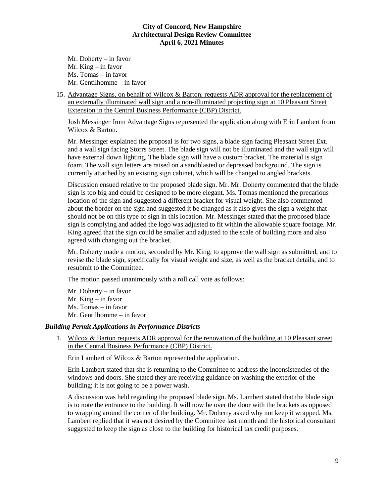Mr. Doherty – in favor Mr. King – in favor Ms. Tomas – in favor Mr. Gentilhomme – in favor

15. Advantage Signs, on behalf of Wilcox & Barton, requests ADR approval for the replacement of an externally illuminated wall sign and a non-illuminated projecting sign at 10 Pleasant Street Extension in the Central Business Performance (CBP) District.

Josh Messinger from Advantage Signs represented the application along with Erin Lambert from Wilcox & Barton.

Mr. Messinger explained the proposal is for two signs, a blade sign facing Pleasant Street Ext. and a wall sign facing Storrs Street. The blade sign will not be illuminated and the wall sign will have external down lighting. The blade sign will have a custom bracket. The material is sign foam. The wall sign letters are raised on a sandblasted or depressed background. The sign is currently attached by an existing sign cabinet, which will be changed to angled brackets.

Discussion ensued relative to the proposed blade sign. Mr. Mr. Doherty commented that the blade sign is too big and could be designed to be more elegant. Ms. Tomas mentioned the precarious location of the sign and suggested a different bracket for visual weight. She also commented about the border on the sign and suggested it be changed as it also gives the sign a weight that should not be on this type of sign in this location. Mr. Messinger stated that the proposed blade sign is complying and added the logo was adjusted to fit within the allowable square footage. Mr. King agreed that the sign could be smaller and adjusted to the scale of building more and also agreed with changing out the bracket.

Mr. Doherty made a motion, seconded by Mr. King, to approve the wall sign as submitted; and to revise the blade sign, specifically for visual weight and size, as well as the bracket details, and to resubmit to the Committee.

The motion passed unanimously with a roll call vote as follows:

Mr. Doherty – in favor Mr. King – in favor Ms. Tomas – in favor Mr. Gentilhomme – in favor

# *Building Permit Applications in Performance Districts*

1. Wilcox & Barton requests ADR approval for the renovation of the building at 10 Pleasant street in the Central Business Performance (CBP) District.

Erin Lambert of Wilcox & Barton represented the application.

Erin Lambert stated that she is returning to the Committee to address the inconsistencies of the windows and doors. She stated they are receiving guidance on washing the exterior of the building; it is not going to be a power wash.

A discussion was held regarding the proposed blade sign. Ms. Lambert stated that the blade sign is to note the entrance to the building. It will now be over the door with the brackets as opposed to wrapping around the corner of the building. Mr. Doherty asked why not keep it wrapped. Ms. Lambert replied that it was not desired by the Committee last month and the historical consultant suggested to keep the sign as close to the building for historical tax credit purposes.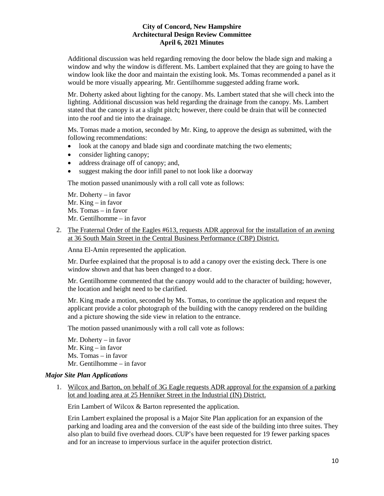Additional discussion was held regarding removing the door below the blade sign and making a window and why the window is different. Ms. Lambert explained that they are going to have the window look like the door and maintain the existing look. Ms. Tomas recommended a panel as it would be more visually appearing. Mr. Gentilhomme suggested adding frame work.

Mr. Doherty asked about lighting for the canopy. Ms. Lambert stated that she will check into the lighting. Additional discussion was held regarding the drainage from the canopy. Ms. Lambert stated that the canopy is at a slight pitch; however, there could be drain that will be connected into the roof and tie into the drainage.

Ms. Tomas made a motion, seconded by Mr. King, to approve the design as submitted, with the following recommendations:

- look at the canopy and blade sign and coordinate matching the two elements;
- consider lighting canopy;
- address drainage off of canopy; and,
- suggest making the door infill panel to not look like a doorway

The motion passed unanimously with a roll call vote as follows:

- Mr. Doherty in favor Mr. King – in favor
- Ms. Tomas in favor
- Mr. Gentilhomme in favor
- 2. The Fraternal Order of the Eagles #613, requests ADR approval for the installation of an awning at 36 South Main Street in the Central Business Performance (CBP) District.

Anna El-Amin represented the application.

Mr. Durfee explained that the proposal is to add a canopy over the existing deck. There is one window shown and that has been changed to a door.

Mr. Gentilhomme commented that the canopy would add to the character of building; however, the location and height need to be clarified.

Mr. King made a motion, seconded by Ms. Tomas, to continue the application and request the applicant provide a color photograph of the building with the canopy rendered on the building and a picture showing the side view in relation to the entrance.

The motion passed unanimously with a roll call vote as follows:

Mr. Doherty – in favor Mr. King – in favor Ms. Tomas – in favor Mr. Gentilhomme – in favor

# *Major Site Plan Applications*

1. Wilcox and Barton, on behalf of 3G Eagle requests ADR approval for the expansion of a parking lot and loading area at 25 Henniker Street in the Industrial (IN) District.

Erin Lambert of Wilcox & Barton represented the application.

Erin Lambert explained the proposal is a Major Site Plan application for an expansion of the parking and loading area and the conversion of the east side of the building into three suites. They also plan to build five overhead doors. CUP's have been requested for 19 fewer parking spaces and for an increase to impervious surface in the aquifer protection district.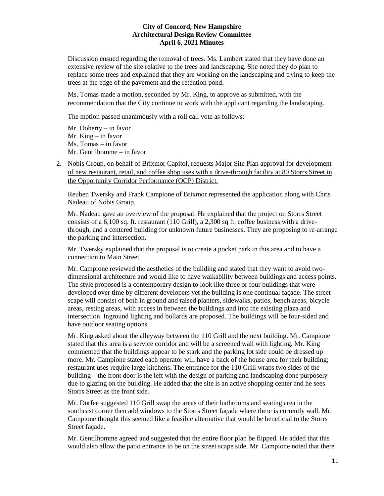Discussion ensued regarding the removal of trees. Ms. Lambert stated that they have done an extensive review of the site relative to the trees and landscaping. She noted they do plan to replace some trees and explained that they are working on the landscaping and trying to keep the trees at the edge of the pavement and the retention pond.

Ms. Tomas made a motion, seconded by Mr. King, to approve as submitted, with the recommendation that the City continue to work with the applicant regarding the landscaping.

The motion passed unanimously with a roll call vote as follows:

Mr. Doherty – in favor Mr. King – in favor Ms. Tomas – in favor Mr. Gentilhomme – in favor

2. Nobis Group, on behalf of Brixmor Capitol, requests Major Site Plan approval for development of new restaurant, retail, and coffee shop uses with a drive-through facility at 80 Storrs Street in the Opportunity Corridor Performance (OCP) District.

Reuben Twersky and Frank Campione of Brixmor represented the application along with Chris Nadeau of Nobis Group.

Mr. Nadeau gave an overview of the proposal. He explained that the project on Storrs Street consists of a 6,100 sq. ft. restaurant (110 Grill), a 2,300 sq ft. coffee business with a drivethrough, and a centered building for unknown future businesses. They are proposing to re-arrange the parking and intersection.

Mr. Twersky explained that the proposal is to create a pocket park in this area and to have a connection to Main Street.

Mr. Campione reviewed the aesthetics of the building and stated that they want to avoid twodimensional architecture and would like to have walkability between buildings and access points. The style proposed is a contemporary design to look like three or four buildings that were developed over time by different developers yet the building is one continual façade. The street scape will consist of both in ground and raised planters, sidewalks, patios, bench areas, bicycle areas, resting areas, with access in between the buildings and into the existing plaza and intersection. Inground lighting and bollards are proposed. The buildings will be four-sided and have outdoor seating options.

Mr. King asked about the alleyway between the 110 Grill and the next building. Mr. Campione stated that this area is a service corridor and will be a screened wall with lighting. Mr. King commented that the buildings appear to be stark and the parking lot side could be dressed up more. Mr. Campione stated each operator will have a back of the house area for their building; restaurant uses require large kitchens. The entrance for the 110 Grill wraps two sides of the building – the front door is the left with the design of parking and landscaping done purposely due to glazing on the building. He added that the site is an active shopping center and he sees Storrs Street as the front side.

Mr. Durfee suggested 110 Grill swap the areas of their bathrooms and seating area in the southeast corner then add windows to the Storrs Street façade where there is currently wall. Mr. Campione thought this seemed like a feasible alternative that would be beneficial to the Storrs Street façade.

Mr. Gentilhomme agreed and suggested that the entire floor plan be flipped. He added that this would also allow the patio entrance to be on the street scape side. Mr. Campione noted that there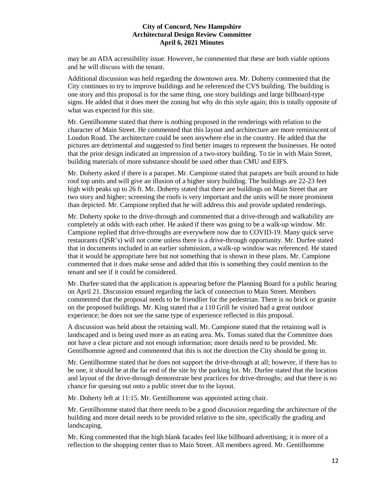may be an ADA accessibility issue. However, he commented that these are both viable options and he will discuss with the tenant.

Additional discussion was held regarding the downtown area. Mr. Doherty commented that the City continues to try to improve buildings and he referenced the CVS building. The building is one story and this proposal is for the same thing, one story buildings and large billboard-type signs. He added that it does meet the zoning but why do this style again; this is totally opposite of what was expected for this site.

Mr. Gentilhomme stated that there is nothing proposed in the renderings with relation to the character of Main Street. He commented that this layout and architecture are more reminiscent of Loudon Road. The architecture could be seen anywhere else in the country. He added that the pictures are detrimental and suggested to find better images to represent the businesses. He noted that the prior design indicated an impression of a two-story building. To tie in with Main Street, building materials of more substance should be used other than CMU and EIFS.

Mr. Doherty asked if there is a parapet. Mr. Campione stated that parapets are built around to hide roof top units and will give an illusion of a higher story building. The buildings are 22-23 feet high with peaks up to 26 ft. Mr. Doherty stated that there are buildings on Main Street that are two story and higher; screening the roofs is very important and the units will be more prominent than depicted. Mr. Campione replied that he will address this and provide updated renderings.

Mr. Doherty spoke to the drive-through and commented that a drive-through and walkability are completely at odds with each other. He asked if there was going to be a walk-up window. Mr. Campione replied that drive-throughs are everywhere now due to COVID-19. Many quick serve restaurants (QSR's) will not come unless there is a drive-through opportunity. Mr. Durfee stated that in documents included in an earlier submission, a walk-up window was referenced. He stated that it would be appropriate here but not something that is shown in these plans. Mr. Campione commented that it does make sense and added that this is something they could mention to the tenant and see if it could be considered.

Mr. Durfee stated that the application is appearing before the Planning Board for a public hearing on April 21. Discussion ensued regarding the lack of connection to Main Street. Members commented that the proposal needs to be friendlier for the pedestrian. There is no brick or granite on the proposed buildings. Mr. King stated that a 110 Grill he visited had a great outdoor experience; he does not see the same type of experience reflected in this proposal.

A discussion was held about the retaining wall. Mr. Campione stated that the retaining wall is landscaped and is being used more as an eating area. Ms. Tomas stated that the Committee does not have a clear picture and not enough information; more details need to be provided. Mr. Gentilhomme agreed and commented that this is not the direction the City should be going in.

Mr. Gentilhomme stated that he does not support the drive-through at all; however, if there has to be one, it should be at the far end of the site by the parking lot. Mr. Durfee stated that the location and layout of the drive-through demonstrate best practices for drive-throughs; and that there is no chance for queuing out onto a public street due to the layout.

Mr. Doherty left at 11:15. Mr. Gentilhomme was appointed acting chair.

Mr. Gentilhomme stated that there needs to be a good discussion regarding the architecture of the building and more detail needs to be provided relative to the site, specifically the grading and landscaping.

Mr. King commented that the high blank facades feel like billboard advertising; it is more of a reflection to the shopping center than to Main Street. All members agreed. Mr. Gentilhomme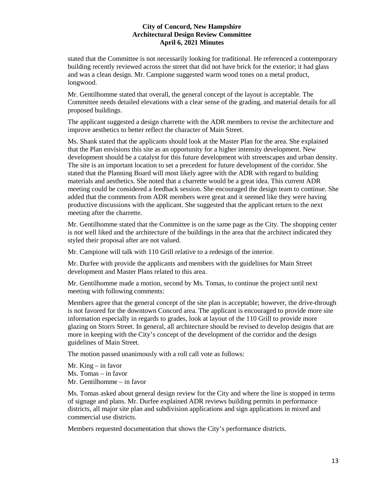stated that the Committee is not necessarily looking for traditional. He referenced a contemporary building recently reviewed across the street that did not have brick for the exterior; it had glass and was a clean design. Mr. Campione suggested warm wood tones on a metal product, longwood.

Mr. Gentilhomme stated that overall, the general concept of the layout is acceptable. The Committee needs detailed elevations with a clear sense of the grading, and material details for all proposed buildings.

The applicant suggested a design charrette with the ADR members to revise the architecture and improve aesthetics to better reflect the character of Main Street.

Ms. Shank stated that the applicants should look at the Master Plan for the area. She explained that the Plan envisions this site as an opportunity for a higher intensity development. New development should be a catalyst for this future development with streetscapes and urban density. The site is an important location to set a precedent for future development of the corridor. She stated that the Planning Board will most likely agree with the ADR with regard to building materials and aesthetics. She noted that a charrette would be a great idea. This current ADR meeting could be considered a feedback session. She encouraged the design team to continue. She added that the comments from ADR members were great and it seemed like they were having productive discussions with the applicant. She suggested that the applicant return to the next meeting after the charrette.

Mr. Gentilhomme stated that the Committee is on the same page as the City. The shopping center is not well liked and the architecture of the buildings in the area that the architect indicated they styled their proposal after are not valued.

Mr. Campione will talk with 110 Grill relative to a redesign of the interior.

Mr. Durfee with provide the applicants and members with the guidelines for Main Street development and Master Plans related to this area.

Mr. Gentilhomme made a motion, second by Ms. Tomas, to continue the project until next meeting with following comments:

Members agree that the general concept of the site plan is acceptable; however, the drive-through is not favored for the downtown Concord area. The applicant is encouraged to provide more site information especially in regards to grades, look at layout of the 110 Grill to provide more glazing on Storrs Street. In general, all architecture should be revised to develop designs that are more in keeping with the City's concept of the development of the corridor and the design guidelines of Main Street.

The motion passed unanimously with a roll call vote as follows:

Mr. King – in favor Ms. Tomas – in favor Mr. Gentilhomme – in favor

Ms. Tomas asked about general design review for the City and where the line is stopped in terms of signage and plans. Mr. Durfee explained ADR reviews building permits in performance districts, all major site plan and subdivision applications and sign applications in mixed and commercial use districts.

Members requested documentation that shows the City's performance districts.